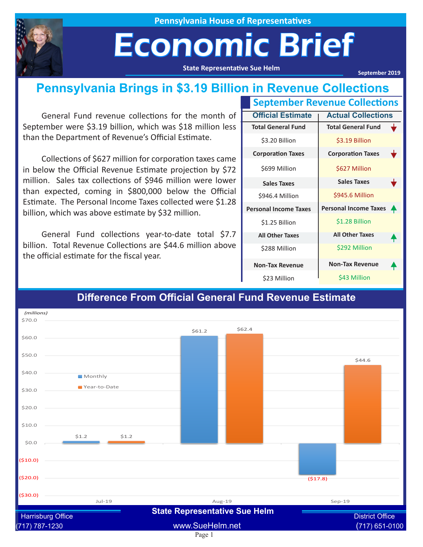

**Pennsylvania House of Representatives**

## Economic Brief

**State Representative Sue Helm**

**September 2019**

#### **Pennsylvania Brings in \$3.19 Billion in Revenue Collections**

General Fund revenue collections for the month of September were \$3.19 billion, which was \$18 million less than the Department of Revenue's Official Estimate.

Collections of \$627 million for corporation taxes came in below the Official Revenue Estimate projection by \$72 million. Sales tax collections of \$946 million were lower than expected, coming in \$800,000 below the Official Estimate. The Personal Income Taxes collected were \$1.28 billion, which was above estimate by \$32 million.

General Fund collections year-to-date total \$7.7 billion. Total Revenue Collections are \$44.6 million above the official estimate for the fiscal year.

| <b>September Revenue Collections</b> |                           |   |
|--------------------------------------|---------------------------|---|
| <b>Official Estimate</b>             | <b>Actual Collections</b> |   |
| <b>Total General Fund</b>            | <b>Total General Fund</b> |   |
| \$3.20 Billion                       | \$3.19 Billion            |   |
| <b>Corporation Taxes</b>             | <b>Corporation Taxes</b>  | v |
| \$699 Million                        | \$627 Million             |   |
| <b>Sales Taxes</b>                   | <b>Sales Taxes</b>        |   |
| \$946.4 Million                      | \$945.6 Million           |   |
| <b>Personal Income Taxes</b>         | Personal Income Taxes     |   |
| \$1.25 Billion                       | \$1.28 Billion            |   |
| <b>All Other Taxes</b>               | <b>All Other Taxes</b>    |   |
| \$288 Million                        | \$292 Million             |   |
| <b>Non-Tax Revenue</b>               | <b>Non-Tax Revenue</b>    |   |
| \$23 Million                         | \$43 Million              |   |



#### **Difference From Official General Fund Revenue Estimate**